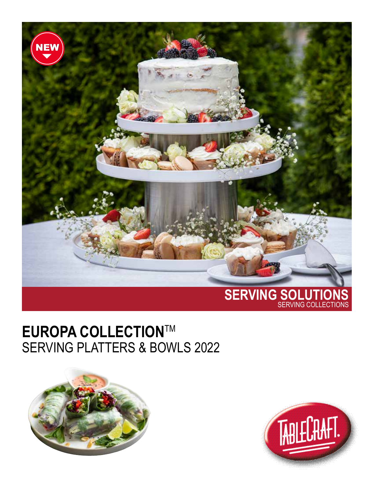

## **EUROPA COLLECTION**TM SERVING PLATTERS & BOWLS 2022